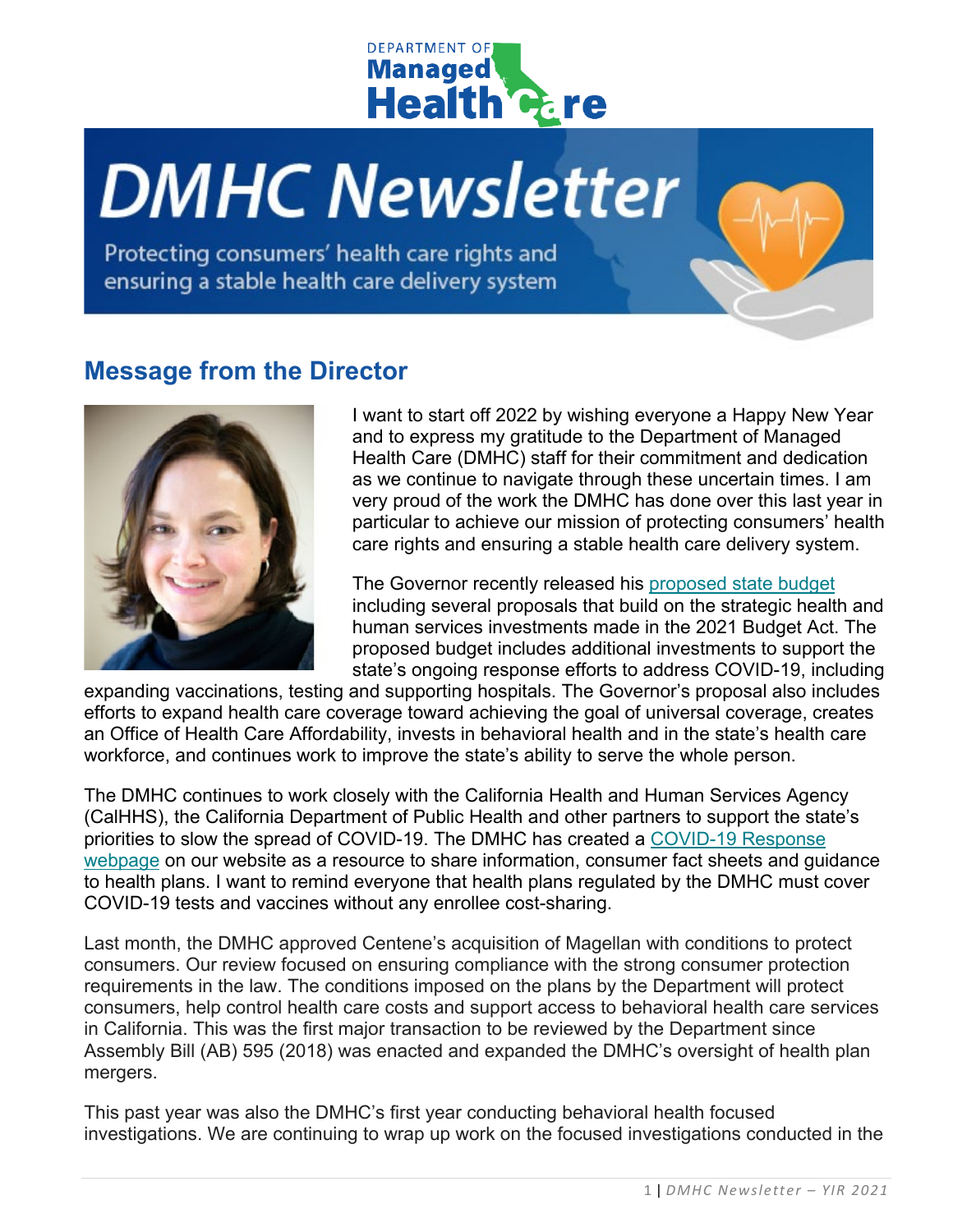

# **DMHC Newsletter**

Protecting consumers' health care rights and ensuring a stable health care delivery system

## **Message from the Director**



I want to start off 2022 by wishing everyone a Happy New Year and to express my gratitude to the Department of Managed Health Care (DMHC) staff for their commitment and dedication as we continue to navigate through these uncertain times. I am very proud of the work the DMHC has done over this last year in particular to achieve our mission of protecting consumers' health care rights and ensuring a stable health care delivery system.

The Governor recently released his [proposed state budget](https://www.gov.ca.gov/2022/01/10/governor-newsom-releases-california-blueprint-to-take-on-the-states-greatest-existential-threats-and-build-on-historic-progress/) including several proposals that build on the strategic health and human services investments made in the 2021 Budget Act. The proposed budget includes additional investments to support the state's ongoing response efforts to address COVID-19, including

expanding vaccinations, testing and supporting hospitals. The Governor's proposal also includes efforts to expand health care coverage toward achieving the goal of universal coverage, creates an Office of Health Care Affordability, invests in behavioral health and in the state's health care workforce, and continues work to improve the state's ability to serve the whole person.

The DMHC continues to work closely with the California Health and Human Services Agency (CalHHS), the California Department of Public Health and other partners to support the state's priorities to slow the spread of COVID-19. The DMHC has created a [COVID-19 Response](https://www.dmhc.ca.gov/COVID-19.aspx)  [webpage](https://www.dmhc.ca.gov/COVID-19.aspx) on our website as a resource to share information, consumer fact sheets and guidance to health plans. I want to remind everyone that health plans regulated by the DMHC must cover COVID-19 tests and vaccines without any enrollee cost-sharing.

Last month, the DMHC approved Centene's acquisition of Magellan with conditions to protect consumers. Our review focused on ensuring compliance with the strong consumer protection requirements in the law. The conditions imposed on the plans by the Department will protect consumers, help control health care costs and support access to behavioral health care services in California. This was the first major transaction to be reviewed by the Department since Assembly Bill (AB) 595 (2018) was enacted and expanded the DMHC's oversight of health plan mergers.

This past year was also the DMHC's first year conducting behavioral health focused investigations. We are continuing to wrap up work on the focused investigations conducted in the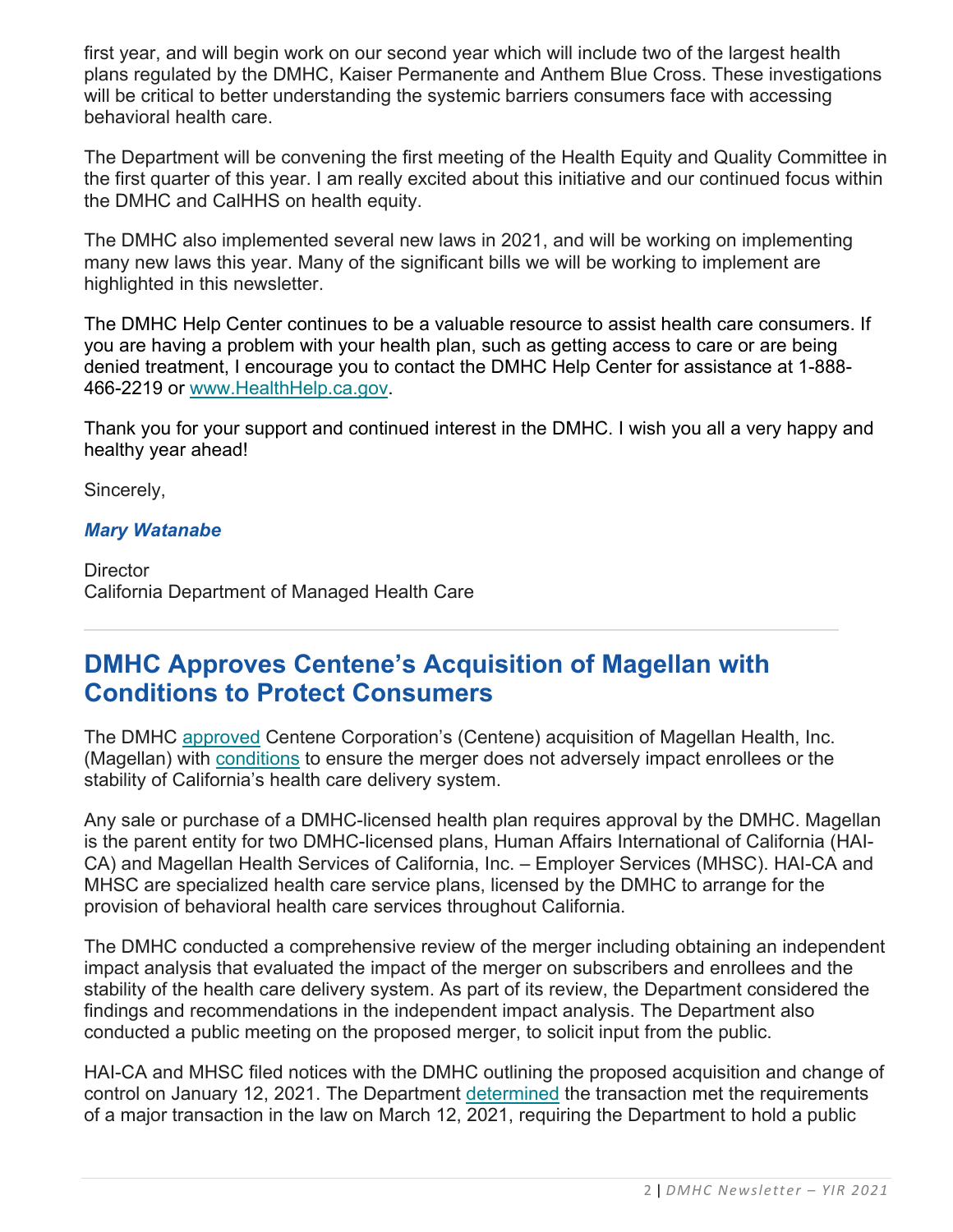first year, and will begin work on our second year which will include two of the largest health plans regulated by the DMHC, Kaiser Permanente and Anthem Blue Cross. These investigations will be critical to better understanding the systemic barriers consumers face with accessing behavioral health care.

The Department will be convening the first meeting of the Health Equity and Quality Committee in the first quarter of this year. I am really excited about this initiative and our continued focus within the DMHC and CalHHS on health equity.

The DMHC also implemented several new laws in 2021, and will be working on implementing many new laws this year. Many of the significant bills we will be working to implement are highlighted in this newsletter.

The DMHC Help Center continues to be a valuable resource to assist health care consumers. If you are having a problem with your health plan, such as getting access to care or are being denied treatment, I encourage you to contact the DMHC Help Center for assistance at 1-888- 466-2219 or [www.HealthHelp.ca.gov.](http://www.healthhelp.ca.gov/)

Thank you for your support and continued interest in the DMHC. I wish you all a very happy and healthy year ahead!

Sincerely,

#### *Mary Watanabe*

**Director** California Department of Managed Health Care

## **DMHC Approves Centene's Acquisition of Magellan with Conditions to Protect Consumers**

The DMHC [approved](https://dmhc.ca.gov/AbouttheDMHC/Newsroom/December30,2021.aspx) Centene Corporation's (Centene) acquisition of Magellan Health, Inc. (Magellan) with [conditions](https://dmhc.ca.gov/Portals/0/Docs/DO/Centene-MagellanUndertakings(Executed)Accessible.pdf) to ensure the merger does not adversely impact enrollees or the stability of California's health care delivery system.

Any sale or purchase of a DMHC-licensed health plan requires approval by the DMHC. Magellan is the parent entity for two DMHC-licensed plans, Human Affairs International of California (HAI-CA) and Magellan Health Services of California, Inc. – Employer Services (MHSC). HAI-CA and MHSC are specialized health care service plans, licensed by the DMHC to arrange for the provision of behavioral health care services throughout California.

The DMHC conducted a comprehensive review of the merger including obtaining an independent impact analysis that evaluated the impact of the merger on subscribers and enrollees and the stability of the health care delivery system. As part of its review, the Department considered the findings and recommendations in the independent impact analysis. The Department also conducted a public meeting on the proposed merger, to solicit input from the public.

HAI-CA and MHSC filed notices with the DMHC outlining the proposed acquisition and change of control on January 12, 2021. The Department [determined](https://dmhc.ca.gov/Portals/0/Docs/DO/HAI-CA-And-MHSC-Filing-Nos.-20210178-20210179-TransactionStatementAndMajorTransactionDetermination.pdf) the transaction met the requirements of a major transaction in the law on March 12, 2021, requiring the Department to hold a public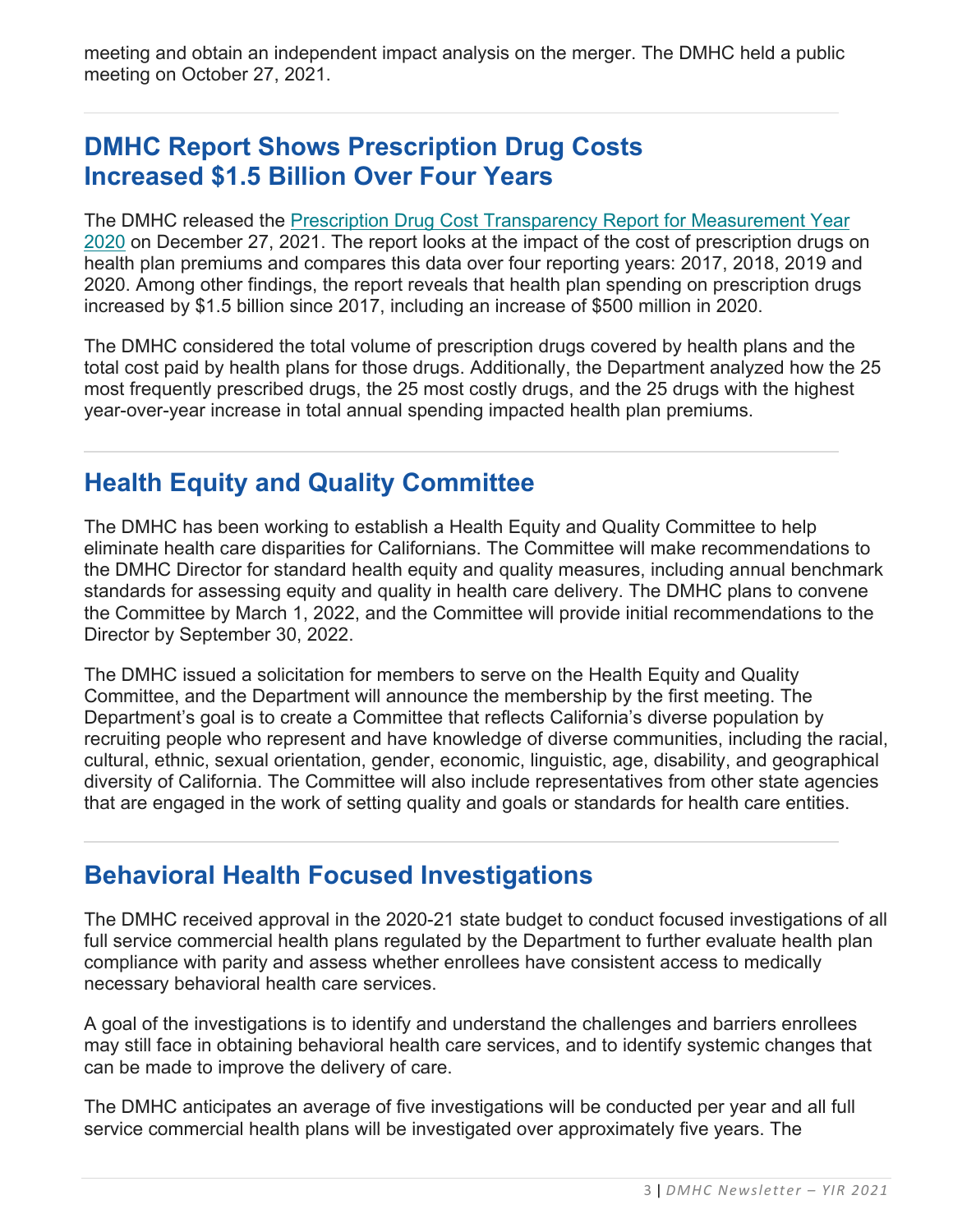meeting and obtain an independent impact analysis on the merger. The DMHC held a public meeting on October 27, 2021.

## **DMHC Report Shows Prescription Drug Costs Increased \$1.5 Billion Over Four Years**

The DMHC released the [Prescription Drug Cost Transparency Report for Measurement Year](https://dmhc.ca.gov/Portals/0/Docs/DO/SB17-2020ReportAccessible.pdf)  [2020](https://dmhc.ca.gov/Portals/0/Docs/DO/SB17-2020ReportAccessible.pdf) on December 27, 2021. The report looks at the impact of the cost of prescription drugs on health plan premiums and compares this data over four reporting years: 2017, 2018, 2019 and 2020. Among other findings, the report reveals that health plan spending on prescription drugs increased by \$1.5 billion since 2017, including an increase of \$500 million in 2020.

The DMHC considered the total volume of prescription drugs covered by health plans and the total cost paid by health plans for those drugs. Additionally, the Department analyzed how the 25 most frequently prescribed drugs, the 25 most costly drugs, and the 25 drugs with the highest year-over-year increase in total annual spending impacted health plan premiums.

## **Health Equity and Quality Committee**

The DMHC has been working to establish a Health Equity and Quality Committee to help eliminate health care disparities for Californians. The Committee will make recommendations to the DMHC Director for standard health equity and quality measures, including annual benchmark standards for assessing equity and quality in health care delivery. The DMHC plans to convene the Committee by March 1, 2022, and the Committee will provide initial recommendations to the Director by September 30, 2022.

The DMHC issued a solicitation for members to serve on the Health Equity and Quality Committee, and the Department will announce the membership by the first meeting. The Department's goal is to create a Committee that reflects California's diverse population by recruiting people who represent and have knowledge of diverse communities, including the racial, cultural, ethnic, sexual orientation, gender, economic, linguistic, age, disability, and geographical diversity of California. The Committee will also include representatives from other state agencies that are engaged in the work of setting quality and goals or standards for health care entities.

## **Behavioral Health Focused Investigations**

The DMHC received approval in the 2020-21 state budget to conduct focused investigations of all full service commercial health plans regulated by the Department to further evaluate health plan compliance with parity and assess whether enrollees have consistent access to medically necessary behavioral health care services.

A goal of the investigations is to identify and understand the challenges and barriers enrollees may still face in obtaining behavioral health care services, and to identify systemic changes that can be made to improve the delivery of care.

The DMHC anticipates an average of five investigations will be conducted per year and all full service commercial health plans will be investigated over approximately five years. The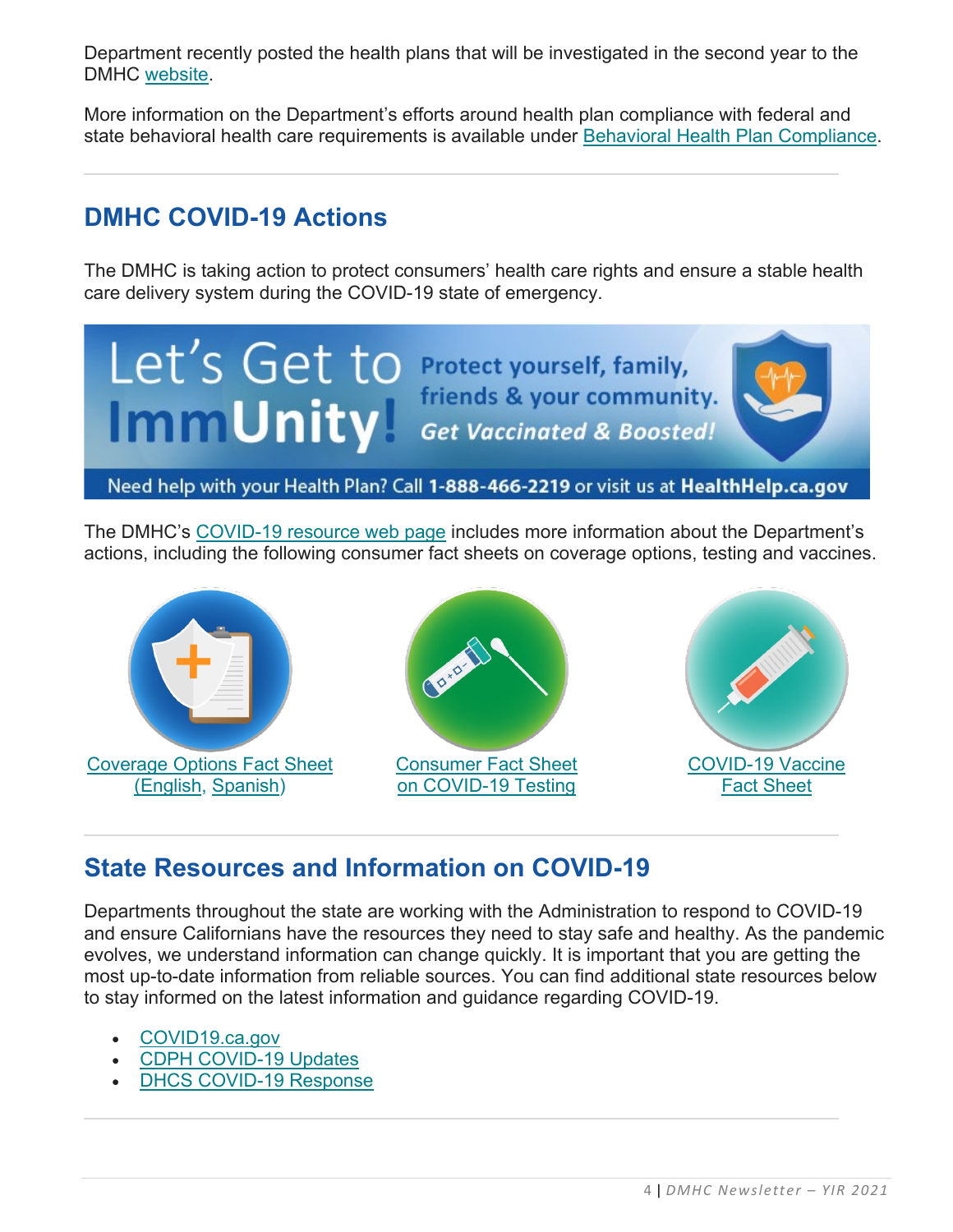Department recently posted the health plans that will be investigated in the second year to the DMHC [website.](https://www.dmhc.ca.gov/Portals/0/Docs/OPM/Health%20Plan%20Changes_2021-08-26.pdf?ver=2021-08-26-114646-293)

More information on the Department's efforts around health plan compliance with federal and state behavioral health care requirements is available under [Behavioral Health Plan Compliance.](https://www.dmhc.ca.gov/LicensingReporting/HealthPlanComplianceMedicalSurvey/BehavioralHealthCareCompliance.aspx)

## **DMHC COVID-19 Actions**

The DMHC is taking action to protect consumers' health care rights and ensure a stable health care delivery system during the COVID-19 state of emergency.



The DMHC's [COVID-19 resource web page](http://www.dmhc.ca.gov/COVID-19.aspx) includes more information about the Department's actions, including the following consumer fact sheets on coverage options, testing and vaccines.



## **State Resources and Information on COVID-19**

Departments throughout the state are working with the Administration to respond to COVID-19 and ensure Californians have the resources they need to stay safe and healthy. As the pandemic evolves, we understand information can change quickly. It is important that you are getting the most up-to-date information from reliable sources. You can find additional state resources below to stay informed on the latest information and guidance regarding COVID-19.

- [COVID19.ca.gov](https://covid19.ca.gov/)
- [CDPH COVID-19 Updates](https://www.cdph.ca.gov/Programs/CID/DCDC/Pages/Immunization/ncov2019.aspx)
- [DHCS COVID-19 Response](https://www.dhcs.ca.gov/Pages/DHCS-COVID%E2%80%9119-Response.aspx)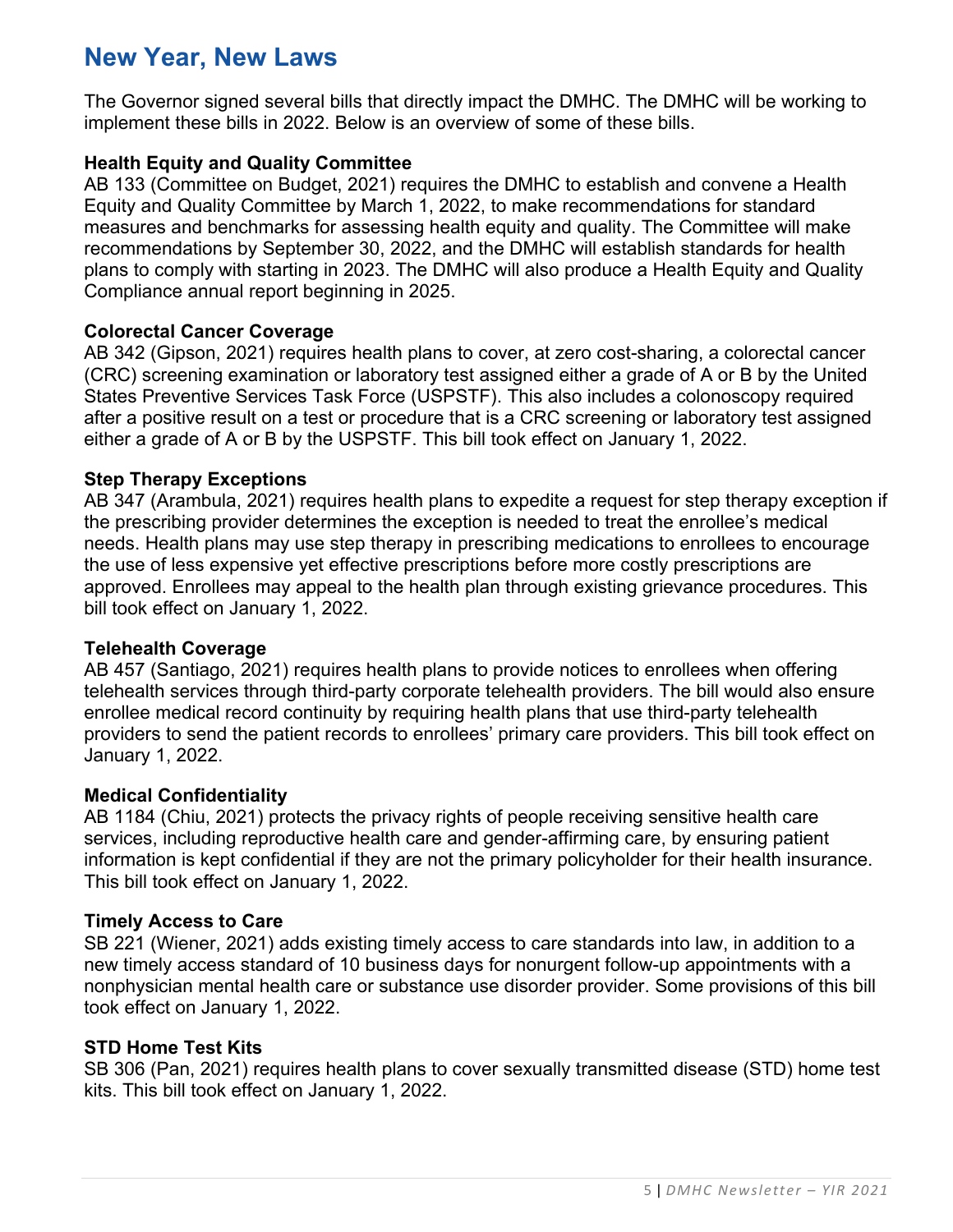## **New Year, New Laws**

The Governor signed several bills that directly impact the DMHC. The DMHC will be working to implement these bills in 2022. Below is an overview of some of these bills.

#### **Health Equity and Quality Committee**

AB 133 (Committee on Budget, 2021) requires the DMHC to establish and convene a Health Equity and Quality Committee by March 1, 2022, to make recommendations for standard measures and benchmarks for assessing health equity and quality. The Committee will make recommendations by September 30, 2022, and the DMHC will establish standards for health plans to comply with starting in 2023. The DMHC will also produce a Health Equity and Quality Compliance annual report beginning in 2025.

#### **Colorectal Cancer Coverage**

AB 342 (Gipson, 2021) requires health plans to cover, at zero cost-sharing, a colorectal cancer (CRC) screening examination or laboratory test assigned either a grade of A or B by the United States Preventive Services Task Force (USPSTF). This also includes a colonoscopy required after a positive result on a test or procedure that is a CRC screening or laboratory test assigned either a grade of A or B by the USPSTF. This bill took effect on January 1, 2022.

#### **Step Therapy Exceptions**

AB 347 (Arambula, 2021) requires health plans to expedite a request for step therapy exception if the prescribing provider determines the exception is needed to treat the enrollee's medical needs. Health plans may use step therapy in prescribing medications to enrollees to encourage the use of less expensive yet effective prescriptions before more costly prescriptions are approved. Enrollees may appeal to the health plan through existing grievance procedures. This bill took effect on January 1, 2022.

#### **Telehealth Coverage**

AB 457 (Santiago, 2021) requires health plans to provide notices to enrollees when offering telehealth services through third-party corporate telehealth providers. The bill would also ensure enrollee medical record continuity by requiring health plans that use third-party telehealth providers to send the patient records to enrollees' primary care providers. This bill took effect on January 1, 2022.

#### **Medical Confidentiality**

AB 1184 (Chiu, 2021) protects the privacy rights of people receiving sensitive health care services, including reproductive health care and gender-affirming care, by ensuring patient information is kept confidential if they are not the primary policyholder for their health insurance. This bill took effect on January 1, 2022.

#### **Timely Access to Care**

SB 221 (Wiener, 2021) adds existing timely access to care standards into law, in addition to a new timely access standard of 10 business days for nonurgent follow-up appointments with a nonphysician mental health care or substance use disorder provider. Some provisions of this bill took effect on January 1, 2022.

#### **STD Home Test Kits**

SB 306 (Pan, 2021) requires health plans to cover sexually transmitted disease (STD) home test kits. This bill took effect on January 1, 2022.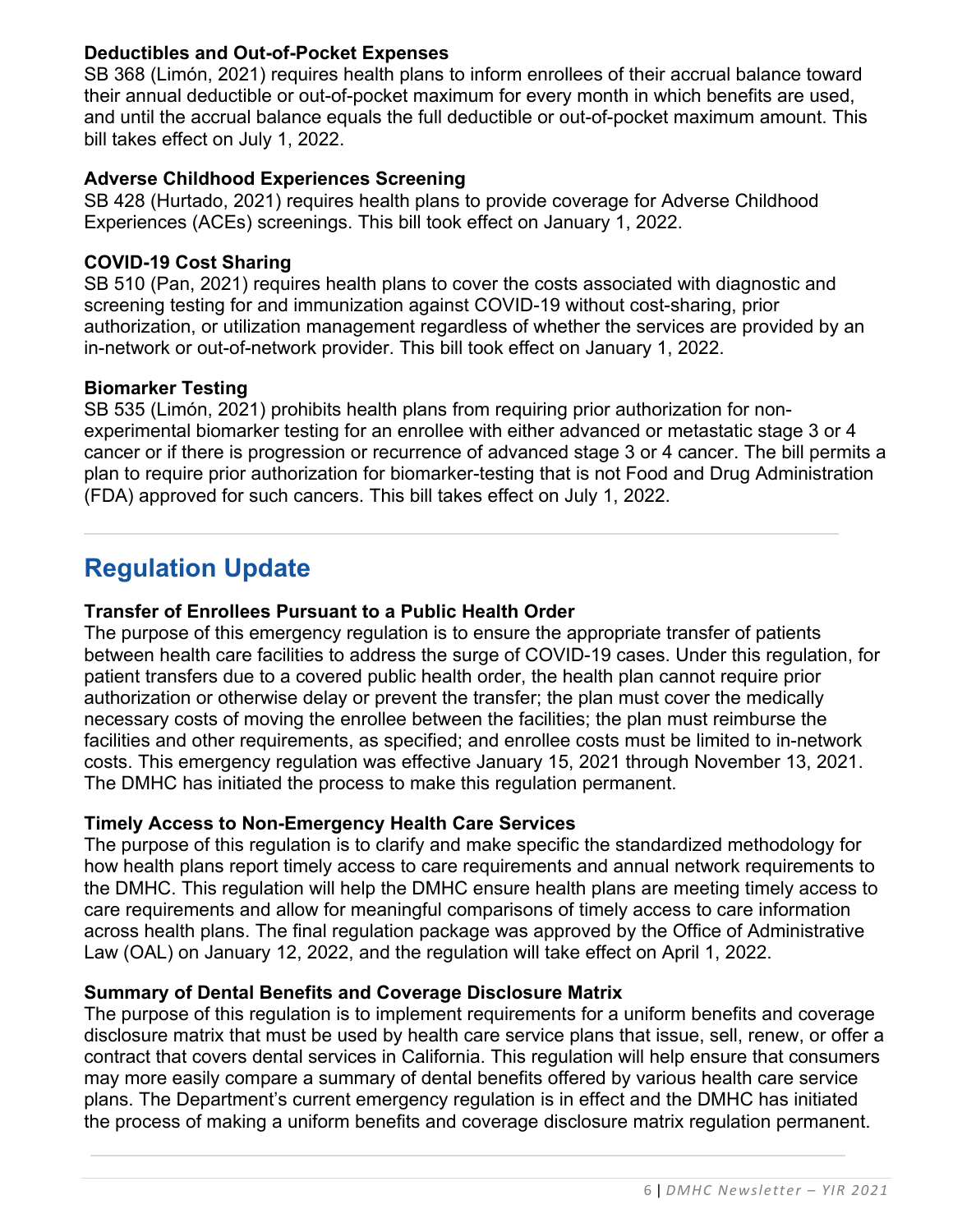#### **Deductibles and Out-of-Pocket Expenses**

SB 368 (Limón, 2021) requires health plans to inform enrollees of their accrual balance toward their annual deductible or out-of-pocket maximum for every month in which benefits are used, and until the accrual balance equals the full deductible or out-of-pocket maximum amount. This bill takes effect on July 1, 2022.

#### **Adverse Childhood Experiences Screening**

SB 428 (Hurtado, 2021) requires health plans to provide coverage for Adverse Childhood Experiences (ACEs) screenings. This bill took effect on January 1, 2022.

#### **COVID-19 Cost Sharing**

SB 510 (Pan, 2021) requires health plans to cover the costs associated with diagnostic and screening testing for and immunization against COVID-19 without cost-sharing, prior authorization, or utilization management regardless of whether the services are provided by an in-network or out-of-network provider. This bill took effect on January 1, 2022.

#### **Biomarker Testing**

SB 535 (Limón, 2021) prohibits health plans from requiring prior authorization for nonexperimental biomarker testing for an enrollee with either advanced or metastatic stage 3 or 4 cancer or if there is progression or recurrence of advanced stage 3 or 4 cancer. The bill permits a plan to require prior authorization for biomarker-testing that is not Food and Drug Administration (FDA) approved for such cancers. This bill takes effect on July 1, 2022.

## **Regulation Update**

#### **Transfer of Enrollees Pursuant to a Public Health Order**

The purpose of this emergency regulation is to ensure the appropriate transfer of patients between health care facilities to address the surge of COVID-19 cases. Under this regulation, for patient transfers due to a covered public health order, the health plan cannot require prior authorization or otherwise delay or prevent the transfer; the plan must cover the medically necessary costs of moving the enrollee between the facilities; the plan must reimburse the facilities and other requirements, as specified; and enrollee costs must be limited to in-network costs. This emergency regulation was effective January 15, 2021 through November 13, 2021. The DMHC has initiated the process to make this regulation permanent.

#### **Timely Access to Non-Emergency Health Care Services**

The purpose of this regulation is to clarify and make specific the standardized methodology for how health plans report timely access to care requirements and annual network requirements to the DMHC. This regulation will help the DMHC ensure health plans are meeting timely access to care requirements and allow for meaningful comparisons of timely access to care information across health plans. The final regulation package was approved by the Office of Administrative Law (OAL) on January 12, 2022, and the regulation will take effect on April 1, 2022.

#### **Summary of Dental Benefits and Coverage Disclosure Matrix**

The purpose of this regulation is to implement requirements for a uniform benefits and coverage disclosure matrix that must be used by health care service plans that issue, sell, renew, or offer a contract that covers dental services in California. This regulation will help ensure that consumers may more easily compare a summary of dental benefits offered by various health care service plans. The Department's current emergency regulation is in effect and the DMHC has initiated the process of making a uniform benefits and coverage disclosure matrix regulation permanent.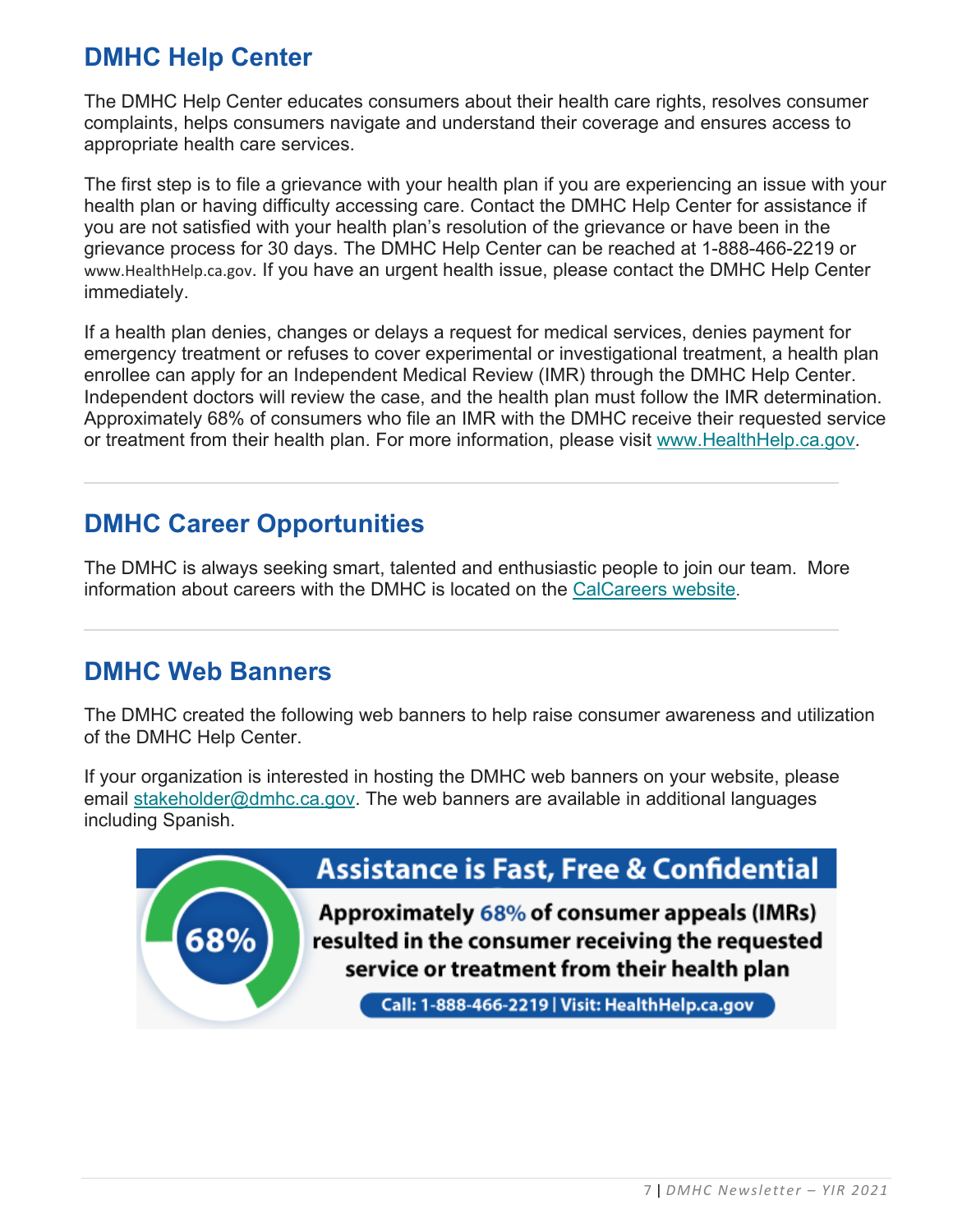## **DMHC Help Center**

The DMHC Help Center educates consumers about their health care rights, resolves consumer complaints, helps consumers navigate and understand their coverage and ensures access to appropriate health care services.

The first step is to file a grievance with your health plan if you are experiencing an issue with your health plan or having difficulty accessing care. Contact the DMHC Help Center for assistance if you are not satisfied with your health plan's resolution of the grievance or have been in the grievance process for 30 days. The DMHC Help Center can be reached at 1-888-466-2219 or [www.HealthHelp.ca.gov](http://www.healthhelp.ca.gov/). If you have an urgent health issue, please contact the DMHC Help Center immediately.

If a health plan denies, changes or delays a request for medical services, denies payment for emergency treatment or refuses to cover experimental or investigational treatment, a health plan enrollee can apply for an Independent Medical Review (IMR) through the DMHC Help Center. Independent doctors will review the case, and the health plan must follow the IMR determination. Approximately 68% of consumers who file an IMR with the DMHC receive their requested service or treatment from their health plan. For more information, please visit [www.HealthHelp.ca.gov.](http://www.healthhelp.ca.gov/)

## **DMHC Career Opportunities**

The DMHC is always seeking smart, talented and enthusiastic people to join our team. More information about careers with the DMHC is located on the [CalCareers website.](https://jobs.ca.gov/CalHRPublic/Search/JobSearchResults.aspx#depid=261)

## **DMHC Web Banners**

The DMHC created the following web banners to help raise consumer awareness and utilization of the DMHC Help Center.

If your organization is interested in hosting the DMHC web banners on your website, please email [stakeholder@dmhc.ca.gov.](mailto:stakeholder@dmhc.ca.gov) The web banners are available in additional languages including Spanish.